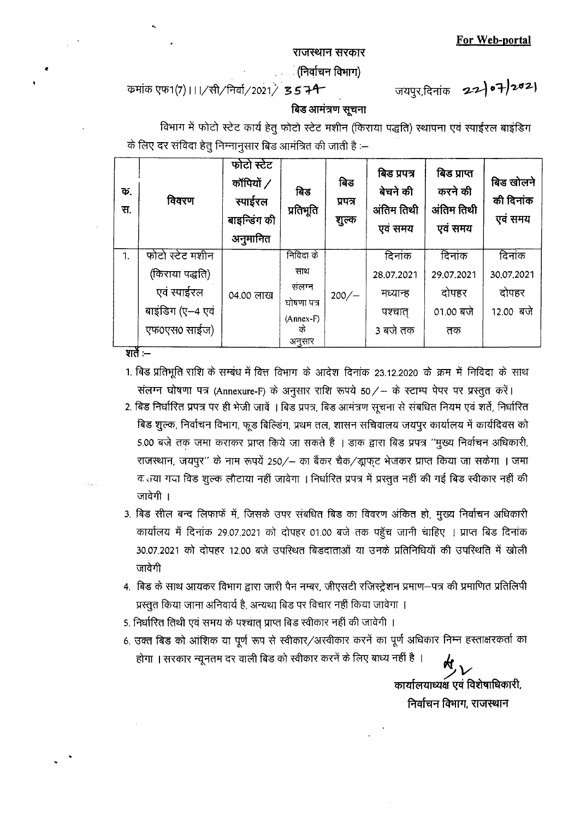**For Web-portal**

#### राजस्थान सरकार

ं (निर्वाचन विभाग)

कमांक एफ1(7) । । / सी/निर्वा/2021/ **35 74** - जयपुर,दिनांक **22 | ०7 | २०2** |

## बिड आमत्रण सूचना

विभाग में फोटो स्टेट कार्य हेतु फोटो स्टेट मशीन (किराया पद्धति) स्थापना एवं स्पाईरल बाइंडिग के लिए दर संविदा हेतु निम्नानुसार बिड आमंत्रित की जाती है :--

| Ф.<br>स. | विवरण            | फोटो स्टेट<br>कॉपियों /<br>स्पाईरल<br>बाइन्डिंग की<br>अनुमानित | बिड<br>प्रतिभूति  | बिड<br>प्रपत्र<br>शुल्क | बिड प्रपत्र<br>बेचने की<br>अंतिम तिथी<br>एवं समय | बिड प्राप्त<br>करने की<br>अंतिम तिथी<br>एवं समय | बिड खोलने<br>की दिनांक<br>एवं समय |
|----------|------------------|----------------------------------------------------------------|-------------------|-------------------------|--------------------------------------------------|-------------------------------------------------|-----------------------------------|
| 1.       | फोटो स्टेट मशीन  |                                                                | निविदा के         |                         | दिनांक                                           | दिनांक                                          | दिनांक                            |
|          | (किराया पद्धति)  |                                                                | साथ               |                         | 28.07.2021                                       | 29.07.2021                                      | 30.07.2021                        |
|          | एवं स्पाईरल      | 04.00 लाख                                                      | संलग्न            | $200/-$                 | मध्यान्ह                                         | दोपहर                                           | दोपहर                             |
|          | बाइंडिग (ए-4 एवं |                                                                | घोषणा पत्र        |                         | पश्चात्                                          | 01.00 बजे                                       | 12.00 बजे                         |
|          | एफ0एस0 साईज)     |                                                                | $(Annex-F)$<br>के |                         | 3 बजे तक                                         | तक                                              |                                   |
|          |                  |                                                                | अनुसार            |                         |                                                  |                                                 |                                   |
| शते :–   |                  |                                                                |                   |                         |                                                  |                                                 |                                   |

- 1. बिड प्रतिभूति राशि के सम्बंध में वित्त विभाग के आदेश दिनांक 23.12.2020 के क्रम में निविदा के साथ संलग्न घोषणा पत्र (Annexure-F) के अनुसार राशि रूपये 50/- के स्टाम्प पेपर पर प्रस्तुत करें।
- 2. बिड निर्धारित प्रपत्र पर ही भेजी जावें । बिड प्रपत्र, बिड आमंत्रण सूचना से संबधित नियम एवं शर्ते, निर्धारित बिड शुल्क, निर्वाचन विभाग, फूड बिल्डिंग, प्रथम तल, शासन सचिवालय जयपूर कार्यालय में कार्यदिवस को 5.00 बजे तक जमा कराकर प्राप्त किये जा सकते हैं । डाक द्वारा बिड प्रपत्र "मुख्य निर्वाचन अधिकारी, राजस्थान, जयपुर'' के नाम रूपयें 250/- का बैंकर चैक/ड्राफुट भेजकर प्राप्त किया जा सकेगा । जमा क लया गया विड शुल्क लौटाया नहीं जावेगा । निर्धारित प्रपत्र में प्रस्तुत नहीं की गई बिड स्वीकार नहीं की जावेगी ।
- 3. बिड सील बन्द लिफाफें में, जिसके उपर संबधित बिड का विवरण अंकित हो, मुख्य निर्वाचन अधिकारी कार्यालय में दिनांक 29.07.2021 को दोपहर 01.00 बजे तक पहुँच जानी चाहिए । प्राप्त बिड दिनांक 30.07.2021 को दोपहर 12.00 बजे उपस्थित बिडदाताओं या उनके प्रतिनिधियों की उपस्थिति में खोली जावेगी
- 4. बिड के साथ आयकर विभाग द्वारा जारी पैन नम्बर, जीएसटी रजिस्ट्रेशन प्रमाण—पत्र की प्रमाणित प्रतिलिपी प्रस्तुत किया जाना अनिवार्य है, अन्यथा बिड पर विचार नहीं किया जावेगा ।
- 5. निर्धारित तिथी एवं समय के पश्चात प्राप्त बिड स्वीकार नहीं की जावेगी ।
- 6. उक्त बिड को आंशिक या पूर्ण रूप से स्वीकार/अस्वीकार करनें का पूर्ण अधिकार निम्न हस्ताक्षरकर्ता का होगा । सरकार न्यूनतम दर वाली बिड को स्वीकार करनें के लिए बाध्य नहीं है ।

ワ<br>ノ<u>!</u> कार्यालयाध्यक्ष एवं विशेषाधिकार निर्वाचन विभाग, राजस्थान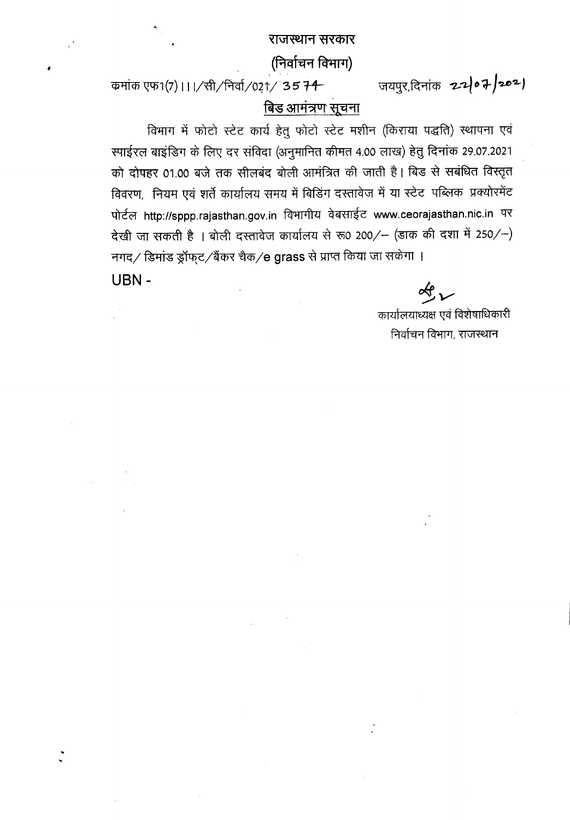## राजस्थान सरकार

# (निर्वाचन विभाग)

कमांक एफ1(7) । । । / सी / निर्वा /021 / 35 74

जयपुर,दिनांक 22/07/2021

# बिड आमंत्रण सूचना

विभाग में फोटो स्टेट कार्य हेतु फोटो स्टेट मशीन (किराया पद्धति) स्थापना एवं स्पाईरल बाइंडिग के लिए दर संविदा (अनुमानित कीमत 4.00 लाख) हेतु दिनांक 29.07.2021 को दोपहर 01.00 बजे तक सीलबंद बोली आमंत्रित की जाती है। बिड से सबंधित विस्तृत विवरण, नियम एवं शर्ते कार्यालय समय में बिडिंग दस्तावेज में या स्टेट पब्लिक प्रक्योरमेंट पोर्टल http://sppp.rajasthan.gov.in विभागीय वेबसाईट www.ceorajasthan.nic.in पर देखी जा सकती है । बोली दस्तावेज कार्यालय से रू0 200/- (डाक की दशा में 250/-) नगद/ डिमांड ड्रॉफ्ट/बैंकर चैक/e grass से प्राप्त किया जा सकेगा ।

**USN -**

 $\ll_{\mathcal{L}}$ 

कार्यालयाध्यक्ष एवं विशेषाधिकारी निर्वाचन विभाग, राजस्थान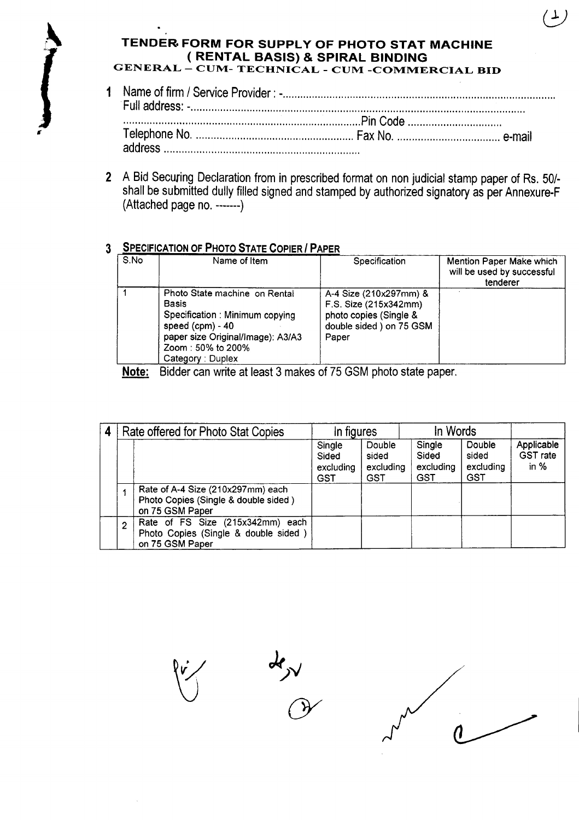## **TENDER. FORM FOR SUPPLY OF PHOTO STAT MACHINE ( RENTAL BASIS) & SPIRAL BINDING** GENERAL - CUM- TECHNICAL - CUM -COMMERCIAL BID

- 1 Name of firm / Service Provider : . Full address: \_ . ................................................................................. Pin Code . Telephone No Fax No e-mail address .
- 2 A Bid Securing Declaration from in prescribed format on non judicial stamp paper of Rs. 50/ shall be submitted dully filled signed and stamped by authorized signatory as per Annexure-F (Attached page no. -------)

# 3 SPECIFICATION OF PHOTO STATE COPIER *I* PAPER

| S.No  | Name of Item                                                                                                                                                                        | Specification                                                                                                   | Mention Paper Make which<br>will be used by successful<br>tenderer |
|-------|-------------------------------------------------------------------------------------------------------------------------------------------------------------------------------------|-----------------------------------------------------------------------------------------------------------------|--------------------------------------------------------------------|
|       | Photo State machine on Rental<br><b>Basis</b><br>Specification: Minimum copying<br>speed $(cpm) - 40$<br>paper size Original/Image): A3/A3<br>Zoom: 50% to 200%<br>Category: Duplex | A-4 Size (210x297mm) &<br>F.S. Size (215x342mm).<br>photo copies (Single &<br>double sided ) on 75 GSM<br>Paper |                                                                    |
| Note: | Bidder can write at least 3 makes of 75 GSM photo state paper.                                                                                                                      |                                                                                                                 |                                                                    |

| 4 |                | Rate offered for Photo Stat Copies                                                           | In figures                          |                                            | In Words                                   |                                            |                                         |
|---|----------------|----------------------------------------------------------------------------------------------|-------------------------------------|--------------------------------------------|--------------------------------------------|--------------------------------------------|-----------------------------------------|
|   |                |                                                                                              | Single<br>Sided<br>excluding<br>GST | Double<br>sided<br>excluding<br><b>GST</b> | Single<br>Sided<br>excluding<br><b>GST</b> | Double<br>sided<br>excluding<br><b>GST</b> | Applicable<br><b>GST</b> rate<br>in $%$ |
|   |                | Rate of A-4 Size (210x297mm) each<br>Photo Copies (Single & double sided)<br>on 75 GSM Paper |                                     |                                            |                                            |                                            |                                         |
|   | $\overline{2}$ | Rate of FS Size (215x342mm) each<br>Photo Copies (Single & double sided)<br>on 75 GSM Paper  |                                     |                                            |                                            |                                            |                                         |

 $\sim$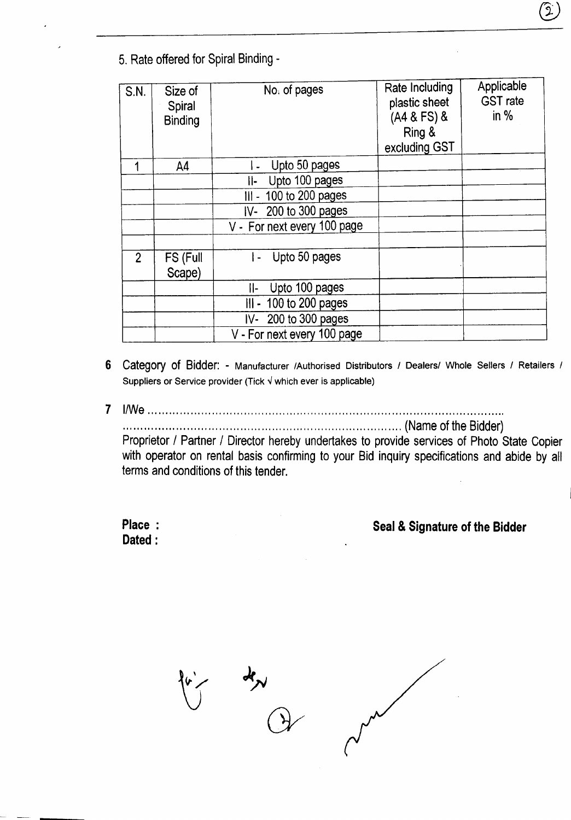5. Rate offered for Spiral Binding -

| S.N.           | Size of<br>Spiral<br><b>Binding</b> | No. of pages                | Rate Including<br>plastic sheet<br>(A4 & FS) &<br>Ring &<br>excluding GST | Applicable<br><b>GST</b> rate<br>in $%$ |
|----------------|-------------------------------------|-----------------------------|---------------------------------------------------------------------------|-----------------------------------------|
|                | A <sub>4</sub>                      | Upto 50 pages               |                                                                           |                                         |
|                |                                     | Upto 100 pages<br>Ⅱ-        |                                                                           |                                         |
|                |                                     | III - 100 to 200 pages      |                                                                           |                                         |
|                |                                     | $IV-200$ to 300 pages       |                                                                           |                                         |
|                |                                     | V - For next every 100 page |                                                                           |                                         |
|                |                                     |                             |                                                                           |                                         |
| $\overline{2}$ | FS (Full<br>Scape)                  | Upto 50 pages<br>I –        |                                                                           |                                         |
|                |                                     | Upto 100 pages<br>II-       |                                                                           |                                         |
|                |                                     | III - 100 to 200 pages      |                                                                           |                                         |
|                |                                     | IV- 200 to 300 pages        |                                                                           |                                         |
|                |                                     | V - For next every 100 page |                                                                           |                                         |

- 6 Category of Bidder: Manufacturer /Authorised Distributors / Dealers/ Whole Sellers / Retailers / Suppliers or Service provider (Tick  $\sqrt{ }$  which ever is applicable)
- *7 I/We ..*

..... ... ....... ..... ...... .... ... ...... .. ... ... . ............ .. ... .... .... (Name of the Bidder) Proprietor *I* Partner *I* Director hereby undertakes to provide services of Photo State Copier with operator on rental basis confirming to your Bid inquiry specifications and abide by all terms and conditions of this tender.

**Place: Dated:**

# **Seal & Signature of the Bidder**

 $\overline{y}$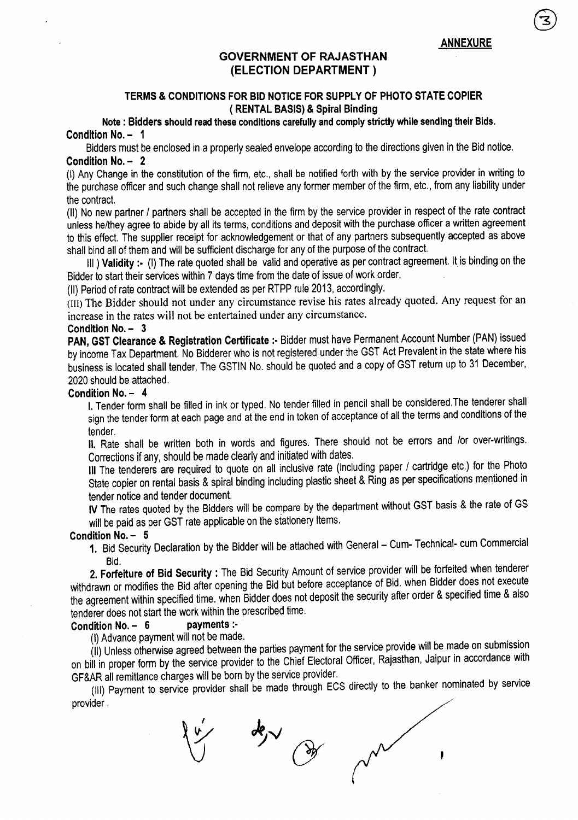ANNEXURE

## GOVERNMENT OF RAJASTHAN (ELECTION DEPARTMENT)

### TERMS & CONDITIONS FOR BID NOTICE FOR SUPPLY OF PHOTO STATE COPIER ( RENTAL BASIS) & Spiral Binding

Note: Bidders should read these conditions carefully and comply strictly while sending their Bids. Condition No. - 1

Bidders must be enclosed in a properly sealed envelope according to the directions given in the Bid notice, Condition No. - 2

(I) Any Change in the constitution of the firm, etc., shall be notified forth with by the service provider in writing to the purchase officer and such change shall not relieve any former member of the firm, etc., from any liability under the contract.

(II) No new partner *I* partners shall be accepted in the firm by the service provider in respect of the rate contract unless he/they agree to abide by all its terms, conditions and deposit with the purchase officer a written agreement to this effect. The supplier receipt for acknowledgement or that of any partners subsequently accepted as above shall bind all of them and will be sufficient discharge for any of the purpose of the contract.

III) Validity:- (I) The rate quoted shall be valid and operative as per contract agreement. It is binding on the Bidder to start their services within 7 days time from the date of issue of work order.

(II) Period of rate contract will be extended as per RTPP rule 2013, accordingly.

(III) The Bidder should not under any circumstance revise his rates already quoted. Any request for an increase in the rates will not be entertained under any circumstance.

### Condition No. - 3

PAN, GST Clearance & Registration Certificate :- Bidder must have Permanent Account Number (PAN) issued by income Tax Department. No Bidderer who is not registered under the GST Act Prevalent in the state where his business is located shall tender. The GSTIN No. should be quoted and a copy of GST return up to 31 December, 2020 should be attached.

### Condition No. - 4

I. Tender form shall be filled in ink or typed. No tender filled in pencil shall be considered.The tenderer shall sign the tender form at each page and at the end in token of acceptance of all the terms and conditions of the tender.

II. Rate shall be written both in words and figures. There should not be errors and *lor* over-writings. Corrections if any, should be made clearly and initiated with dates.

III The tenderers are required to quote on all inclusive rate (including paper / cartridge etc.) for the Photo State copier on rental basis & spiral binding including plastic sheet & Ring as per specifications mentioned in tender notice and tender document.

IV The rates quoted by the Bidders will be compare by the department without GST basis & the rate of GS will be paid as per GST rate applicable on the stationery Items.

### Condition No. - 5

1. Bid Security Declaration by the Bidder will be attached with General - Cum- Technical- cum Commercial Bid.

2. Forfeiture of Bid Security: The Bid Security Amount of service provider will be forfeited when tenderer withdrawn or modifies the Bid after opening the Bid but before acceptance of Bid. when Bidder does not execute the agreement within specified time. when Bidder does not deposit the security after order & specified time & also tenderer does not start the work within the prescribed time.<br>Condition No.  $-$  6 payments :-

## Condition No.  $-6$

(I) Advance payment will not be made.

(II) Unless otherwise agreed between the parties payment for the service provide will be made on submission on bill in proper form by the service provider to the Chief Electoral Officer, Rajasthan, Jaipur in accordance with GF&AR all remittance charges will be born by the service provider.

(III) Payment to service provider shall be made through ECS directly to the banker nominated by service provider.

 $\frac{d}{d\theta}$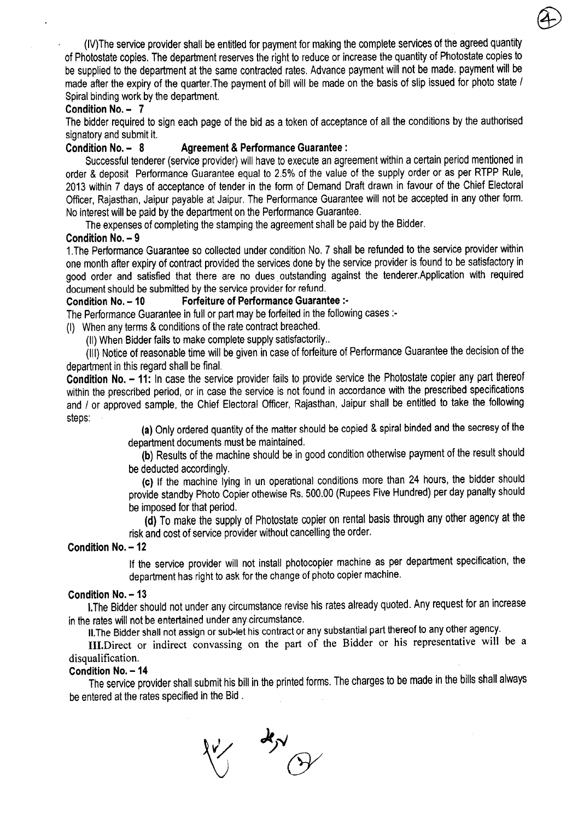(IV)The service provider shall be entitled for payment for making the complete services of the agreed quantity of Photostate copies. The department reserves the right to reduce or increase the quantity of Photostate copies to be supplied to the department at the same contracted rates. Advance payment will not be made. payment will be made after the expiry of the quarter.The payment of bill will be made on the basis of slip issued for photo state / Spiral binding work by the department.

### Condition No. - 7

The bidder required to sign each page of the bid as a token of acceptance of all the conditions by the authorised signatory and submit it.

## Condition No. - 8 Agreement & Performance Guarantee:

Successful tenderer (service provider) will have to execute an agreement within a certain period mentioned in order & deposit Performance Guarantee equal to 2.5% of the value of the supply order or as per RTPP Rule, 2013 within 7 days of acceptance of tender in the form of Demand Draft drawn in favour of the Chief Electoral Officer, Rajasthan, Jaipur payable at Jaipur. The Performance Guarantee will not be accepted in any other form. No interest will be paid by the department on the Performance Guarantee.

The expenses of completing the stamping the agreement shall be paid by the Bidder.

## Condition No. - 9

1.The Performance Guarantee so collected under condition NO.7 shall be refunded to the service provider within one month after expiry of contract provided the services done by the service provider is found to be satisfactory in good order and satisfied that there are no dues outstanding against the tenderer. Application with required document should be submitted by the service provider for refund.

## Condition No. -10 Forfeiture of Performance Guarantee :.

The Performance Guarantee in full or part may be forfeited in the following cases :-

(I) When any terms & conditions of the rate contract breached.

(II) When Bidder fails to make complete supply satisfactorily ..

(III) Notice of reasonable time will be given in case of forfeiture of Performance Guarantee the decision of the department in this regard shall be final.

Condition No. - 11: In case the service provider fails to provide service the Photostate copier any part thereof within the prescribed period, or in case the service is not found in accordance with the prescribed specifications and / or approved sample, the Chief Electoral Officer, Rajasthan, Jaipur shall be entitled to take the following steps:

(a) Only ordered quantity of the matter should be copied & spiral binded and the secresy of the department documents must be maintained.

(b) Results of the machine should be in good condition otherwise payment of the result should be deducted accordingly.

(c) If the machine lying in un operational conditions more than 24 hours, the bidder should provide standby Photo Copier othewise Rs. 500.00 (Rupees Five Hundred) per day panalty should be imposed for that period.

(d) To make the supply of Photostate copier on rental basis through any other agency at the risk and cost of service provider without cancelling the order.

### Condition No. - 12

If the service provider will not install photocopier machine as per department specification, the department has right to ask for the change of photo copier machine.

## Condition No. - 13

I.The Bidder should not under any circumstance revise his rates already quoted. Any request for an increase in the rates will not be entertained under any circumstance.

II.The Bidder shall not assign or sub-let his contract or any substantial part thereof to any other agency.

III.Direct or indirect convassing on the part of the Bidder or his representative will be a disqualification.

### Condition No. - 14

The service provider shall submit his bill in the printed forms. The charges to be made in the bills shall always be entered at the rates specified in the Bid.

 $\frac{d}{dx}$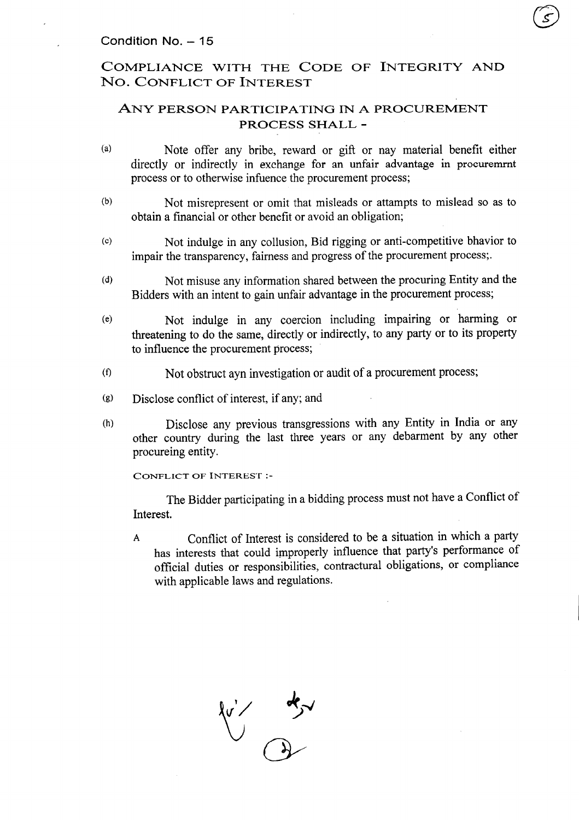# COMPLIANCE WITH THE CODE OF INTEGRITY AND No.CONFLICT OF INTEREST

# ANY PERSON PARTICIPATING IN A PROCUREMENT PROCESS SHALL -

- (a) Note offer any bribe, reward or gift or nay material benefit either directly or indirectly in exchange for an unfair advantage in procuremmt process or to otherwise infuence the procurement process;
- (b) Not misrepresent or omit that misleads or attampts to mislead so as to obtain a financial or other benefit or avoid an obligation;
- (c) Not indulge in any collusion, Bid rigging or anti-competitive bhavior to impair the transparency, fairness and progress of the procurement process;.
- (d) Not misuse any information shared between the procuring Entity and the Bidders with an intent to gain unfair advantage in the procurement process;
- (e) Not indulge in any coercion including impairing or harming or threatening to do the same, directly or indirectly, to any party or to its property to influence the procurement process;
- (t) Not obstruct ayn investigation or audit of a procurement process;
- (g) Disclose conflict of interest, if any; and
- (h) Disclose any previous transgressions with any Entity in India or any other country during the last three years or any debarment by any other procureing entity.

CONFLICT OF INTEREST:-

The Bidder participating in a bidding process must not have a Conflict of Interest.

A Conflict of Interest is considered to be a situation in which a party has interests that could improperly influence that party's performance of official duties or responsibilities, contractural obligations, or compliance with applicable laws and regulations.

 $\sqrt[n]{\frac{1}{n}}$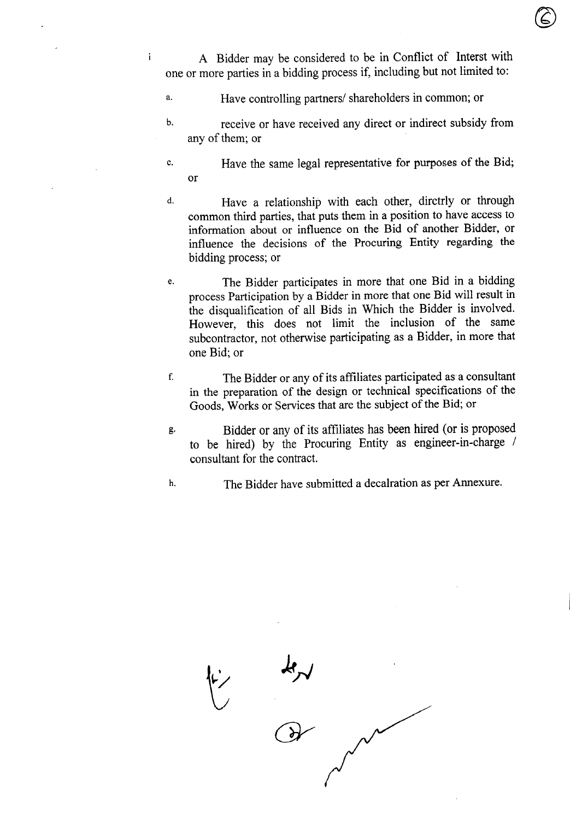A Bidder may be considered to be in Conflict of Interst with one or more parties in a bidding process if, including but not limited to:

©

a. Have controlling partners/ shareholders in common; or

 $\mathbf{i}$ 

- b. receive or have received any direct or indirect subsidy from any of them; or
- c. Have the same legal representative for purposes of the Bid; or
- d. Have a relationship with each other, dirctrly or through common third parties, that puts them in a position to have access to information about or influence on the Bid of another Bidder, or influence the decisions of the Procuring Entity regarding the bidding process; or
- The Bidder participates in more that one Bid in a bidding process Participation by a Bidder in more that one Bid will result in the disqualification of all Bids in Which the Bidder is involved. However, this does not limit the inclusion of the same subcontractor, not otherwise participating as a Bidder, in more that one Bid; or e.
- f. The Bidder or any of its affiliates participated asa consultant in the preparation of the design or technical specifications of the Goods, Works or Services that are the subject of the Bid; or
- g. Bidder or any of its affiliates has been hired (or is proposed to be hired) by the Procuring Entity as engineer-in-charge / consultant for the contract.
- h. The Bidder have submitted a decalration as per Annexure.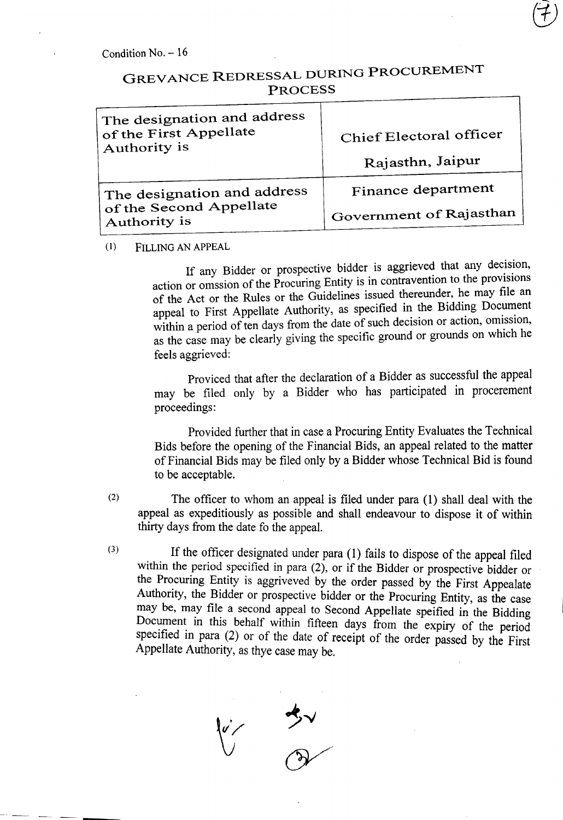# GREVANCE REDRESSAL DURING PROCUREMENT PROCESS

| The designation and address<br>of the First Appellate | Chief Electoral officer |
|-------------------------------------------------------|-------------------------|
| Authority is                                          | Rajasthn, Jaipur        |
| The designation and address                           | Finance department      |
| of the Second Appellate<br>Authority is               | Government of Rajasthan |

(1) FILLING AN APPEAL

If any Bidder or prospective bidder is aggrieved that any decision, action or omssion of the Procuring Entity is in contravention to the provisions of the Act or the Rules or the Guidelines issued thereunder, he may file an appeal to First Appellate Authority, as specified in the Bidding Document within a period of ten days from the date of such decision or action, omission, as the case may be clearly giving the specific ground or grounds on which he feels aggrieved:

Proviced that after the declaration of a Bidder as successful the appeal may be filed only by a Bidder who has participated in procerement proceedings:

Provided further that in case a Procuring Entity Evaluates the Technical Bids before the opening of the Financial Bids, an appeal related to the matter of Financial Bids may be filed only by a Bidder whose Technical Bid is found to be acceptable.

- (2) The officer to whom an appeal is filed under para (1) shall deal with the appeal as expeditiously as possible and shall endeavour to dispose it of within thirty days from the date fo the appeal.
- If the officer designated under para  $(1)$  fails to dispose of the appeal filed within the period specified in para  $(2)$ , or if the Bidder or prospective bidder or the Procuring Entity is aggriveved by the order passed by the First Appealate Authority, the Bidder or prospective bidder or the Procuring Entity, as the case may be, may file a second appeal to Second Appellate speified in the Bidding Document in this behalf within fifteen days from the expiry of the period specified in para (2) or of the date of receipt of the order passed by the First Appellate Authority, as thye case may be. (3)

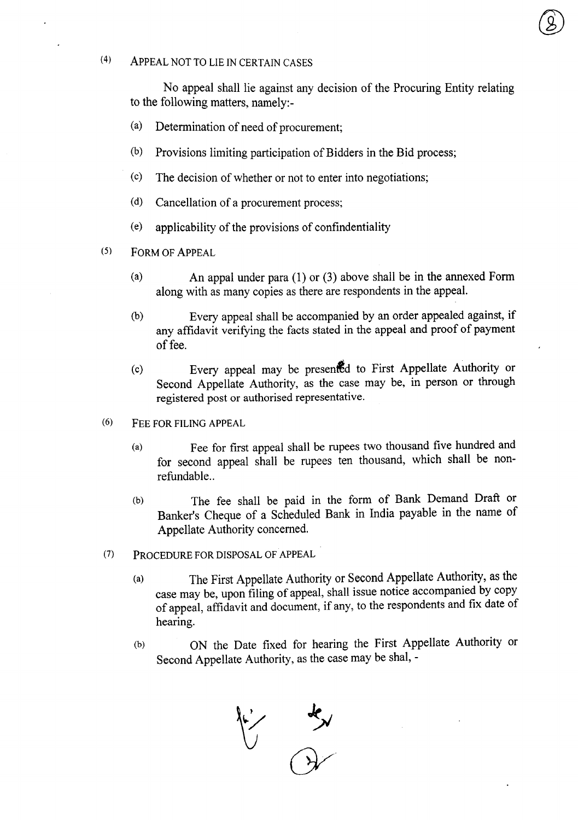# (4) ApPEAL NOT TO LIE IN CERTAIN CASES

No appeal shall lie against any decision of the Procuring Entity relating to the following matters, namely:-

®

- (a) Determination of need of procurement;
- (b) Provisions limiting participation of Bidders in the Bid process;
- (c) The decision of whether or not to enter into negotiations;
- (d) Cancellation of a procurement process;
- (e) applicability of the provisions of confindentiality
- (5) FORM OF ApPEAL
	- (a) An appal under para (1) or (3) above shall be in the annexed Form along with as many copies as there are respondents in the appeal.
	- (b) Every appeal shall be accompanied by an order appealed against, if any affidavit verifying the facts stated in the appeal and proof of payment of fee. -
	- (c) Every appeal may be presenfd to First Appellate Authority or Second Appellate Authority, as the case may be, in person or through registered post or authorised representative.
- (6) FEE FOR FILING APPEAL
	- (a) Fee for first appeal shall be rupees two thousand five hundred and for second appeal shall be rupees ten thousand, which shall be nonrefundable..
	- (b) The fee shall be paid in the form of Bank Demand Draft or Banker's Cheque of a Scheduled Bank in India payable in the name of Appellate Authority concerned.
- (7) PROCEDURE FOR DISPOSAL OF APPEAL
	- (a) The First Appellate Authority or Second Appellate Authority, as the case may be, upon filing of appeal, shall issue notice accompanied by copy of appeal, affidavit and document, if any, to the respondents and fix date of hearing.
	- (b) ON the Date fixed for hearing the First Appellate Authority or Second Appellate Authority, as the case may be shal, -

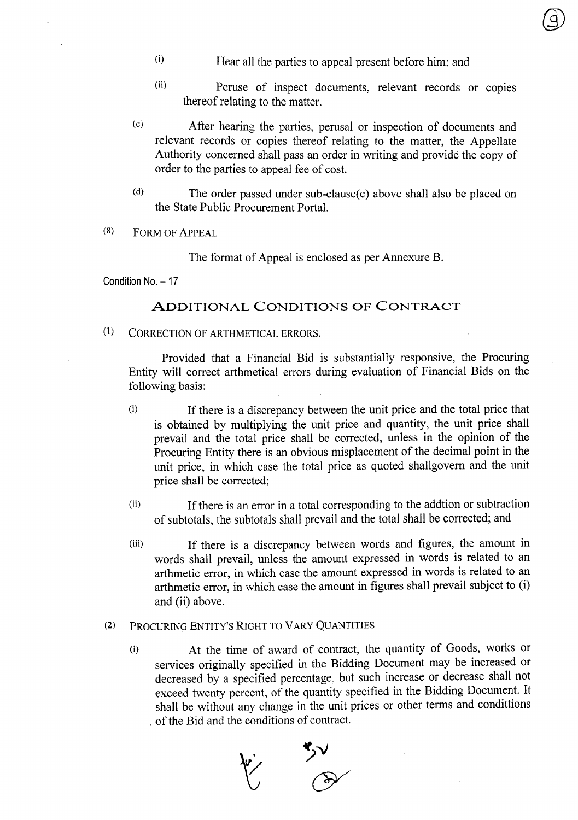- (i) Hear all the parties to appeal present before him; and
- (ii) Peruse of inspect documents, relevant records or copies thereof relating to the matter.
- (c) After hearing the parties, perusal or inspection of documents and relevant records or copies thereof relating to the matter, the Appellate Authority concerned shall pass an order in writing and provide the copy of order to the parties to appeal fee of cost.
- (d) The order passed under sub-clause/c) above shall also be placed on the State Public Procurement Portal.
- (8) FORM OF ApPEAL

The format of Appeal is enclosed as per Annexure B.

Condition No. - 17

## ADDITIONAL CONDITIONS OF CONTRACT

(1) CORRECTION OF ARTHMETICAL ERRORS.

Provided that a Financial Bid is substantially responsive.. the Procuring Entity will correct arthmetical errors during evaluation of Financial Bids on the following basis:

- (i) If there is a discrepancy between the unit price and the total price that is obtained by multiplying the unit price and quantity, the unit price shall prevail and the total price shall be corrected, unless in the opinion of the Procuring Entity there is an obvious misplacement of the decimal point in the unit price, in which case the total price as quoted shallgovern and the unit price shall be corrected;
- (ii) If there is an error in a total corresponding to the addtion or subtraction of subtotals, the subtotals shall prevail and the total shall be corrected; and
- (iii) If there is a discrepancy between words and figures, the amount in words shall prevail, unless the amount expressed in words is related to an arthmetic error, in which case the amount expressed in words is related to an arthmetic error, in which case the amount in figures shall prevail subject to (i) and (ii) above.

## (2) PROCURING ENTITY'S RIGHT TO VARY QUANTITIES

(i) At the time of award of contract, the quantity of Goods, works or services originally specified in the Bidding Document may be increased or decreased by a specified percentage, but such increase or decrease shall not exceed twenty percent, of the quantity specified in the Bidding Document. It shall be without any change in the unit prices or other terms and condittions . of the Bid and the conditions of contract.

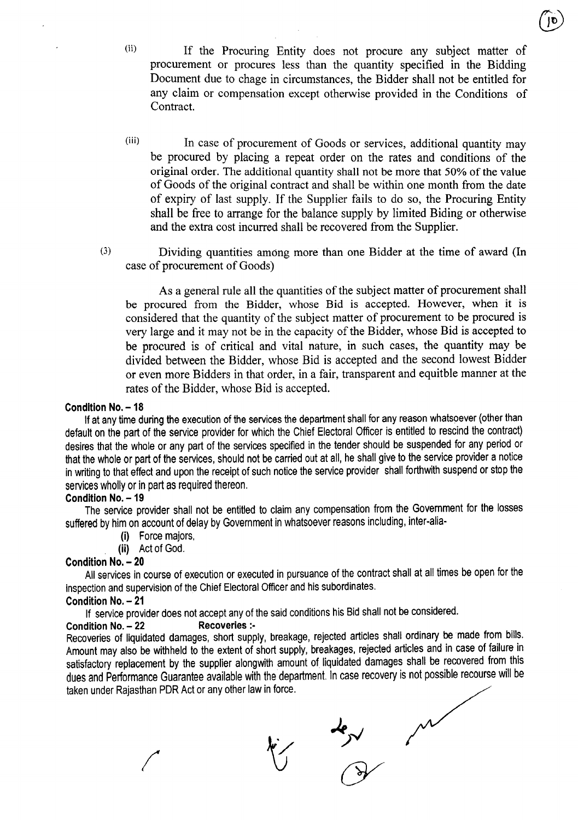- (ii) If the Procuring Entity does not procure any subject matter of procurement or procures less than the quantity specified in the Bidding Document due to chage in circumstances, the Bidder shall not be entitled for any claim or compensation except otherwise provided in the Conditions of Contract.
- (iii) In case of procurement of Goods or services, additional quantity may be procured by placing a repeat order on the rates and conditions of the original order. The additional quantity shall not be more that 50% of the value of Goods of the original contract and shall be within one month from the date of expiry of last supply. If the Supplier fails to do so, the Procuring Entity shall be free to arrange for the balance supply by limited Biding or otherwise and the extra cost incurred shall be recovered from the Supplier.
- (3) Dividing quantities among more than one Bidder at the time of award (In case of procurement of Goods)

As a general rule all the quantities of the subject matter of procurement shall be procured from the Bidder, whose Bid is accepted. However, when it is considered that the quantity of the subject matter of procurement to be procured is very large and it may not be in the capacity of the Bidder, whose Bid is accepted to be procured is of critical and vital nature, in such cases, the quantity may be divided between the Bidder, whose Bid is accepted and the second lowest Bidder or even more Bidders in that order, in a fair, transparent and equitble manner at the rates of the Bidder, whose Bid is accepted.

### Condition No. - 18

If at any time during the execution of the services the department shall for any reason whatsoever (other than default on the part of the service provider for which the Chief Electoral Officer is entitled to rescind the contract) desires that the whole or any part of the services specified in the tender should be suspended for any period or that the whole or part of the services, should not be carried out at all, he shall give to the service provider a notice in writing to that effect and upon the receipt of such notice the service provider shall forthwith suspend or stop the services wholly or in part as required thereon.

### Condition No. - 19

The service provider shall not be entitled to claim any compensation from the Government for the losses suffered by him on account of delay by Government in whatsoever reasons including, inter-alia-

- (i) Force majors,
- (ii) Act of God.

### Condition No.- 20

All services in course of execution or executed in pursuance of the contract shall at all times be open for the inspection and supervision of the Chief Electoral Officer and his subordinates.

### Condition No. - 21

If service provider does not accept any of the said conditions his Bid shall not be considered.

### Condition No.- 22 Recoveries :-

Recoveries of liquidated damages, short supply, breakage, rejected articles shall ordinary be made from bills. Amount may also be withheld to the extent of short supply, breakages, rejected articles and in case of failure in satisfactory replacement by the supplier alongwith amount of liquidated damages shall be recovered from this dues and Performance Guarantee available with the department. In case recovery is not possible recourse will be taken under Rajasthan PDR Act or any other law in force.

 $\frac{1}{\sqrt{2}}$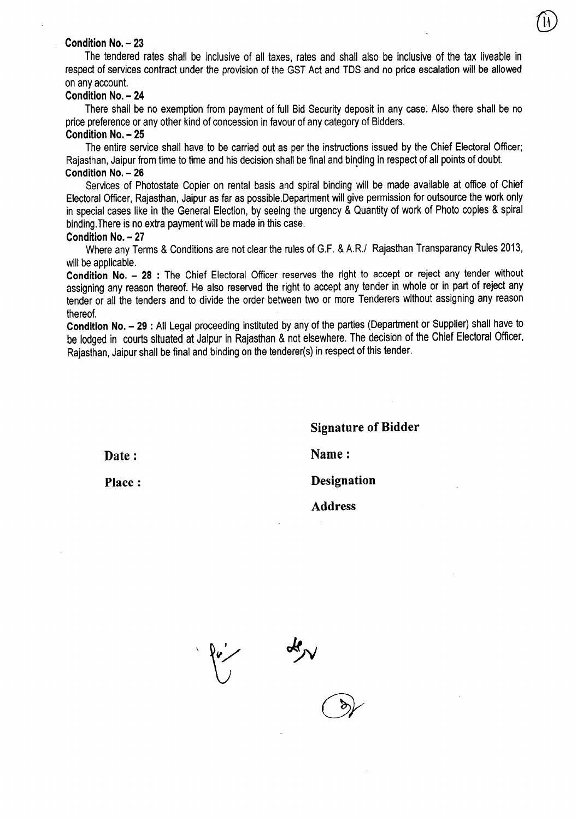#### **Condition No. - 23**

The tendered rates shall be inclusive of all taxes, rates and shall also be inclusive of the tax liveable in respect of services contract under the provision of the GST Act and TDS and no price escalation will be allowed on any account.

®

#### **Condition No. - 24**

There shall be no exemption from payment of full Bid Security deposit in any case. Also there shall be no price preference or any other kind of concession in favour of any category of Bidders.

#### **Condition No. - 25**

The entire service shall have to be carried out as per the instructions issued by the Chief Electoral Officer; Rajasthan, Jaipur from time to time and his decision shall be final and binding in respect of all points of doubt. **Condition No. - 26**

Services of Photostate Copier on rental basis and spiral binding will be made available at office of Chief Electoral Officer, Rajasthan, Jaipur as far as possible.Department will give permission for outsource the work only in special cases like in the General Election, by seeing the urgency & Quantity of work of Photo copies & spiral binding.There is no extra payment will be made in this case.

#### **Condition No. - 27**

Where any Terms & Conditions are not clear the rules of G.F. & *A.R.t* Rajasthan Transparancy Rules 2013, will be applicable.

**Condition No. - 28 :** The Chief Electoral Officer reserves the right to accept or reject any tender without assigning any reason thereof. He also reserved the right to accept any tender in whole or in part of reject any tender or all the tenders and to divide the order between two or more Tenderers without assigning any reason thereof.

**Condition No. - 29 :** All Legal proceeding instituted by any of the parties (Department or Supplier) shall have to be lodged in courts situated at Jaipur in Rajasthan & not elsewhere. The decision of the Chief Electoral Officer, Rajasthan, Jaipur shall be final and binding on the tenderer(s) in respect of this tender.

**Date:**

**Signature of Bidder Name: Place: Designation Address**

 $\frac{1}{\sqrt{2}}$ 

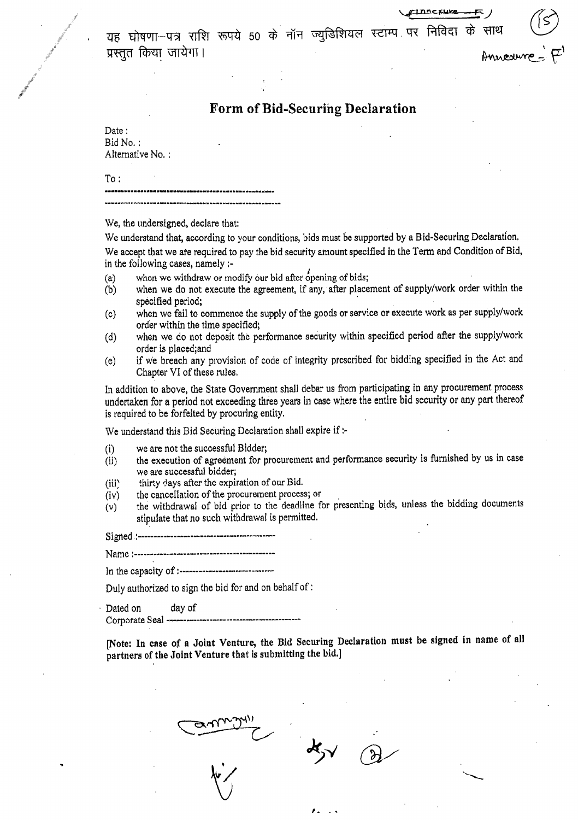यह घोषणा—पत्र राशि रूपये 50 के नॉन ज्युडिशियल स्टाम्प पर निविदा के साथ प्रस्तुत किया जायेगा। Anneaure  $\leq$   $\mathcal{F}'$ 

 $\mathop{\mathtt{inc}}\nolimits$ ruve

# **Form of Bid-Securing Declaration**

Date: Bid No. : Alternative No. :

To:

We, the undersigned. declare that:

We understand that, according to your conditions, bids must be supported by a Bid-Securing Declaration. We accept that we are required to pay the bid security amount specified in the Term and Condition of Bid, in the following cases, namely ;-

- $(a)$  when we withdraw or modify our bid after opening of bids;
- (b) when we do not execute the agreement, if any, after placement of supply/work order within the specified period;
- (c) when we fail to commence the supply of the goods or service or execute work as per supply/work order within the time specified;
- (d) when we do not deposit the performance security within specified period after the supply/work order is placed;and
- (e) if we breach any provision of code of integrity prescribed for bidding specified in the Act and Chapter VI of these rules.

In addition to above, the State Government shall debar us from participating in any procurement process undertaken for a period not exceeding three years in case where the entire bid security or any part thereof is required to be forfeited by procuring entity.

We understand this Bid Securing Declaration shall expire if :-

- (i) we are not the successful Bidder;
- (ii) the execution of agreement for procurement and performance security is furnished by us in case we are successful bidder;
- (iii) thirty days after the expiration of our Bid.
- (iv) the cancellation of the procurement process; or .
- (v) the withdrawal of bid prior to the deadline for presenting bids, unless the bidding documents stipulate that no such withdrawal is permitted.

Signed.: -----------------------------------------

Name :------------------------------"------------

In the capacity of :------------------------------

Duly authorized to sign the bid for and on behalf of:

Dated on day of

Corporate Seal -

[Note: In case *of* a Joint Venture, the Bid Securing Declaration must be signed in name of all partners of the Joint Venture that is submitting the bid.]

,. \_.

 $\mathcal{X}$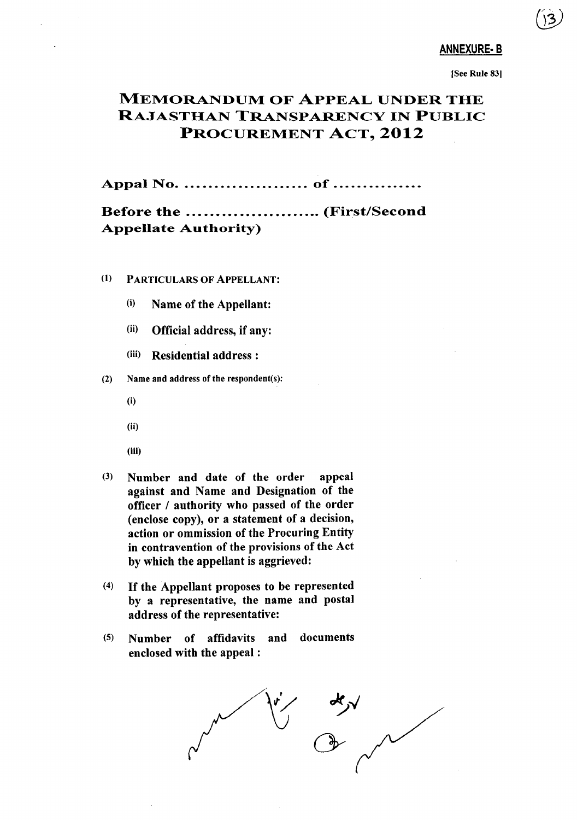### ANNEXURE·B

(SeeRule 83)

# MEMORANDUM OF ApPEAL UNDER THE RAJASTHAN TRANSPARENCY IN PUBLIC PROCUREMENT ACT., **2012**

**Appal No of .**

# Before the ........................... (First/Second Appellate Authority)

- (1) PARTICULARS OF ApPELLANT:
	- (i) Name of the Appellant:
	- (ii) Official address, if any:
	- (iii) Residential address :
- (2) Name and address of the respondent(s):
	- (i)
	- (ii)
	- (iii)
- (3) Number and date of the order appeal against and Name and Designation of the officer / authority who passed of the order (enclose copy), or a statement of a decision, action or ommission of the Procuring Entity in contravention of the provisions of the Act by which the appellant is aggrieved:
- (4) If the Appellant proposes to be represented by a representative, the name and postal address of the representative:
- (5) Number of affidavits and documents enclosed with the appeal :

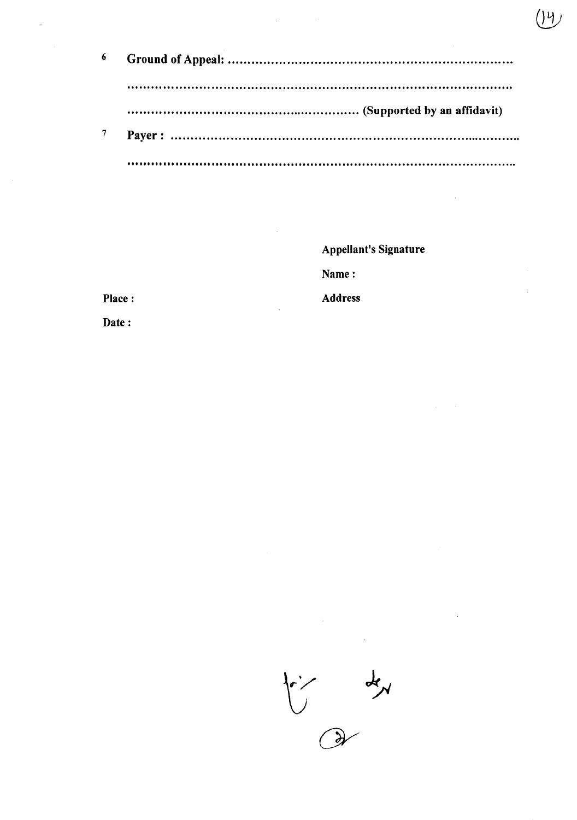| 6 |  |
|---|--|
|   |  |
|   |  |
|   |  |

**Appellant's Signature** 

74

Name:

**Address** 

Place:

Date:

 $\frac{1}{2}$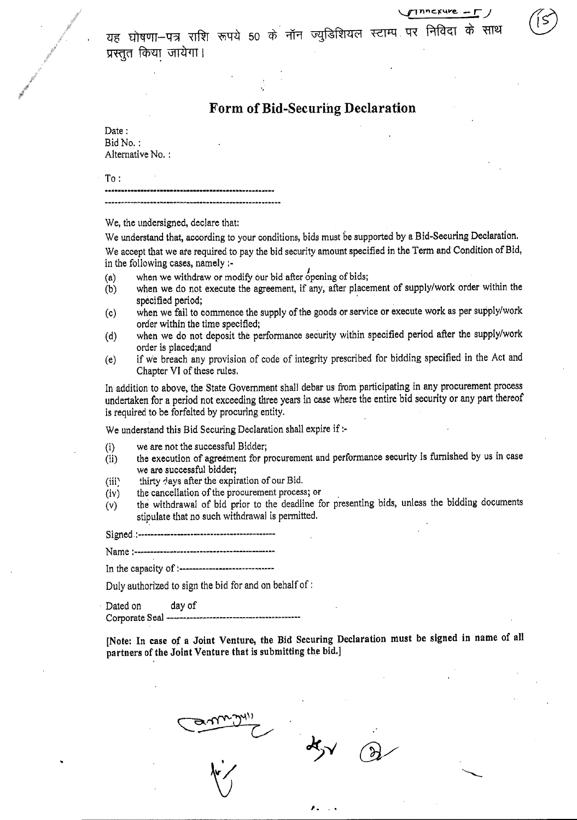यह घोषणा—पत्र राशि रूपये 50 के नॉन ज्युडिशियल स्टाम्प पर निविदा के प्रस्तूत किया जायेगा।

 $T$ Tinncxure -  $\Gamma$ )

# Form of Bid-Securing Declaration

Date: Bid No. : Alternative No. :

To:

We, the undersigned, declare that:

We understand that, according to your conditions, bids must be supported by a Bid-Securing Declaration. We accept that we are required to pay the bid security amount specified in the Term and Condition of Bid, in the following cases, namely :-

- $(a)$  when we withdraw or modify our bid after opening of bids;
- (b) when we do not execute the agreement, if any, after placement of supply/work order within the specified period;
- (c) when we fail to commence the supply of the goods or service or execute work as per supply/work order within the time specified;
- (d) when we do not deposit the performance security within specified period after the supply/work order is placed;and
- (e) if we breach any provision of code of integrity prescribed for bidding specified in the Act and Chapter VI of these rules.

In addition to above, the State Government shall debar us from participating in any procurement process undertaken for a period not exceeding three years in case where the entire bid security or any part thereof is required to be forfeited by procuring entity.

We understand this Bid Securing Declaration shall expire if:-

- (i) we are not the successful Bidder;
- (ii) the execution of agreement for procurement and performance security is furnished by us in case we are successful bidder;
- (iii) thirty days after the expiration of our Bid.
- (iv) the cancellation of the procurement process; or
- (v) the withdrawal of bid prior to the deadline for presenting bids, unless the bidding documents stipulate that no such withdrawal is permitted.

 $Signed: -$ 

Name :~~"--~~--~--"~-.------~-~~~-----~-"~~~--.~-

In the capacity of :-."--."---"~----------~-~-"-~

Duly authorized to sign the bid for and on behalf of:

Dated on day of

Corporate Seal ~

[Note: In case *of* a Joint Venture, the Bid Securing Declaration must be signed in name of all partners of the Joint Venture that is submitting the bid.]

,. \_.

 $x<sub>2</sub>$  $\delta$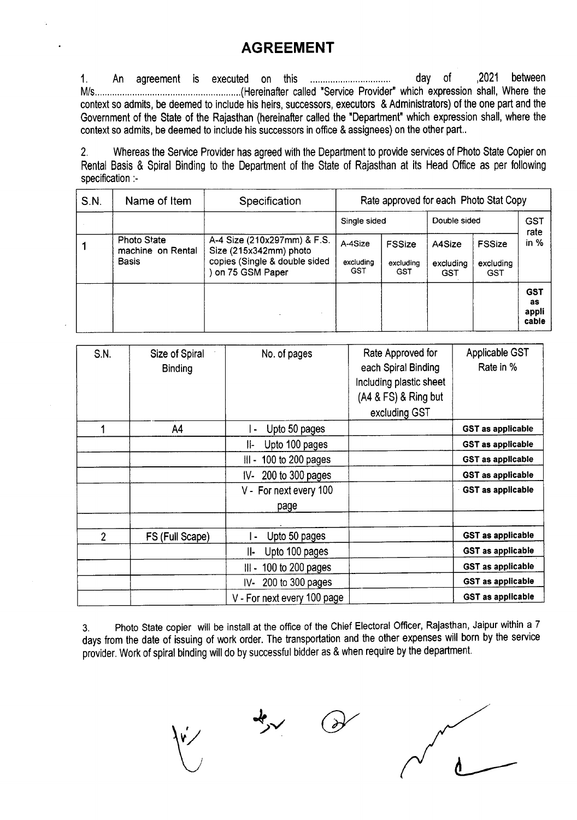# **AGREEMENT**

1. An agreement is executed on this day of ,2021 between M/s (Hereinafter called "Service Provider" which expression shall, Where the context so admits, be deemed to include his heirs, successors, executors & Administrators) of the one part and the Government of the State of the Rajasthan (hereinafter called the "Department" which expression shall, where the context so admits, be deemed to include his successors in office & assignees) on the other part..

2. Whereas the Service Provider has agreed with the Department to provide services of Photo State Copier on Rental Basis & Spiral Binding to the Department of the State of Rajasthan at its Head Office as per following specification :-

| S.N. | Name of Item                                     | Specification                                                                                             |                             |                                          | Rate approved for each Photo Stat Copy |                                   |                                    |
|------|--------------------------------------------------|-----------------------------------------------------------------------------------------------------------|-----------------------------|------------------------------------------|----------------------------------------|-----------------------------------|------------------------------------|
|      |                                                  |                                                                                                           | Single sided                |                                          | Double sided                           |                                   | <b>GST</b><br>rate                 |
|      | Photo State<br>machine on Rental<br><b>Basis</b> | A-4 Size (210x297mm) & F.S.<br>Size (215x342mm) photo<br>copies (Single & double sided<br>on 75 GSM Paper | A-4Size<br>excluding<br>GST | <b>FSSize</b><br>excluding<br><b>GST</b> | A4Size<br>excluding<br>GST             | <b>FSSize</b><br>excluding<br>GST | in $%$                             |
|      |                                                  |                                                                                                           |                             |                                          |                                        |                                   | <b>GST</b><br>as<br>appli<br>cable |

| <b>S.N.</b> | Size of Spiral<br><b>Binding</b> | No. of pages                    | Rate Approved for<br>each Spiral Binding<br>Including plastic sheet<br>(A4 & FS) & Ring but<br>excluding GST | Applicable GST<br>Rate in % |
|-------------|----------------------------------|---------------------------------|--------------------------------------------------------------------------------------------------------------|-----------------------------|
|             | A4                               | Upto 50 pages<br>$\blacksquare$ |                                                                                                              | <b>GST as applicable</b>    |
|             |                                  | Upto 100 pages<br>∥-            |                                                                                                              | <b>GST as applicable</b>    |
|             |                                  | $III - 100$ to 200 pages        |                                                                                                              | <b>GST as applicable</b>    |
|             |                                  | IV- 200 to 300 pages            |                                                                                                              | <b>GST as applicable</b>    |
|             |                                  | V - For next every 100          |                                                                                                              | <b>GST as applicable</b>    |
|             |                                  | page                            |                                                                                                              |                             |
|             |                                  |                                 |                                                                                                              |                             |
| 2           | FS (Full Scape)                  | Upto 50 pages<br>$\bullet$      |                                                                                                              | <b>GST as applicable</b>    |
|             |                                  | Upto 100 pages<br>II-           |                                                                                                              | <b>GST as applicable</b>    |
|             |                                  | $III - 100$ to 200 pages        |                                                                                                              | <b>GST as applicable</b>    |
|             |                                  | IV- 200 to 300 pages            |                                                                                                              | <b>GST as applicable</b>    |
|             |                                  | V - For next every 100 page     |                                                                                                              | <b>GST as applicable</b>    |

3. Photo State copier will be install at the office of the Chief Electoral Officer, Rajasthan, Jaipur within a 7 days from the date of issuing of work order. The transportation and the other expenses will born by the service provider. Work of spiral binding will do by successful bidder as & when require by the department.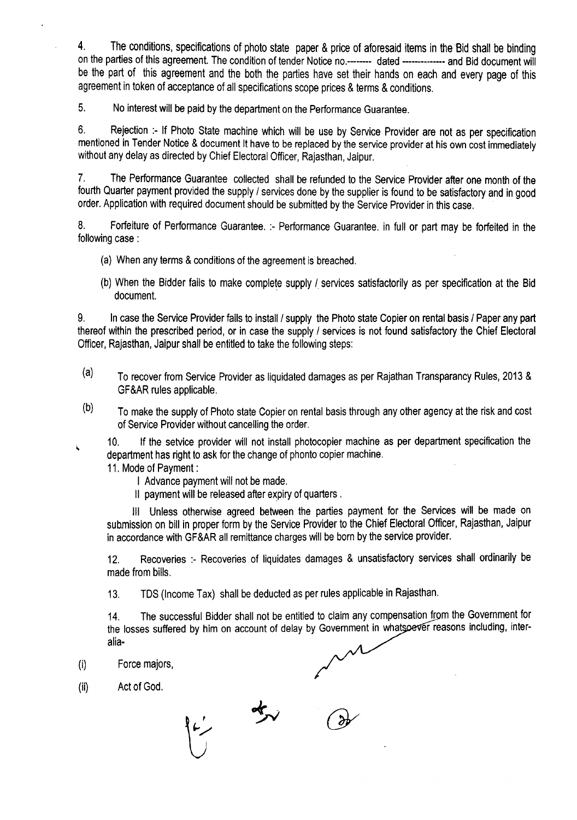4. The conditions, specifications of photo state paper & price of aforesaid items in the Bid shall be binding on the parties of this agreement. The condition of tender Notice no.-------- dated -------------- and Bid document will be the part of this agreement and the both the parties have set their hands on each and every page of this agreement in token of acceptance of all specifications scope prices & terms & conditions.

5. No interest will be paid by the department on the Performance Guarantee.

6. Rejection :- If Photo State machine which will be use by Service Provider are not as per specification mentioned in Tender Notice & document It have to be replaced by the service provider at his own cost immediately without any delay as directed by Chief Electoral Officer, Rajasthan, Jaipur.

7. The Performance Guarantee collected shall be refunded to the Service Provider after one month of the fourth Quarter payment provided the supply / services done by the supplier is found to be satisfactory and in good order. Application with required document should be submitted by the Service Provider in this case.

8. Forfeiture of Performance Guarantee. :- Performance Guarantee. in full or part may be forfeited in the following case :

- (a) When any terms & conditions of the agreement is breached.
- (b) When the Bidder fails to make complete supply / services satisfactorily as per specification at the Bid document.

9. In case the Service Provider fails to install / supply the Photo state Copier on rental basis / Paper any part thereof within the prescribed period, or in case the supply / services is not found satisfactory the Chief Electoral Officer, Rajasthan, Jaipur shall be entitled to take the following steps:

- $(a)$  To recover from Service Provider as liquidated damages as per Rajathan Transparancy Rules, 2013 & GF&AR rules applicable.
- $(b)$  To make the supply of Photo state Copier on rental basis through any other agency at the risk and cost of Service Provider without cancelling the order.

10. If the setvice provider will not install photocopier machine as per department specification the À, department has right to ask for the change of phonto copier machine.

11. Mode of Payment:

- I Advance payment will not be made.
- II payment will be released after expiry of quarters.

III Unless otherwise agreed between the parties payment for the Services will be made on submission on bill in proper form by the Service Provider to the Chief Electoral Officer, Rajasthan, Jaipur in accordance with GF&AR all remittance charges will be born by the service provider.

12. Recoveries :- Recoveries of liquidates damages & unsatisfactory services shall ordinarily be made from bills.

13. TDS (Income Tax) shall be deducted as per rules applicable in Rajasthan.

14. The successful Bidder shall not be entitled to claim any compensation from the Government for the losses suffered by him on account of delay by Government in what soever reasons including, interalia-

- (i) Force majors,
- (ii) Act of God.

女 رنبا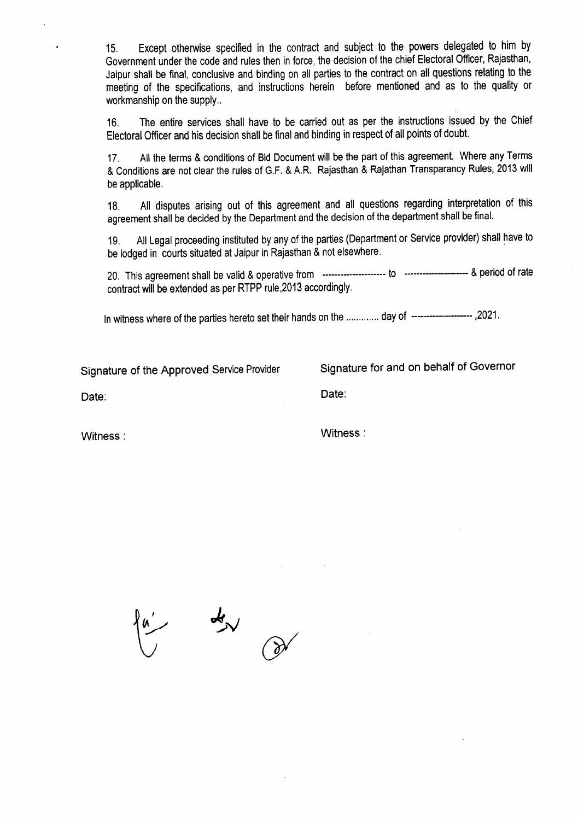15. Except otherwise specified in the contract and subject to the powers delegated to him by Government under the code and rules then in force, the decision of the chief Electoral Officer, Rajasthan, Jaipur shall be final, conclusive and binding on all parties to the contract on all questions relating to the meeting of the specifications, and instructions herein before mentioned and as to the quality or workmanship on the supply..

16. The entire services shall have to be carried out as per the instructions issued by the Chief Electoral Officer and his decision shall be final and binding in respect of all points of doubt.

17. All the terms & conditions of Bid Document will be the part of this agreement. Where any Terms & Conditions are not clear the rules of G.F. & A.R. Rajasthan & Rajathan Transparancy Rules, 2013 will be applicable.

18. All disputes arising out of this agreement and all questions regarding interpretation of this agreement shall be decided by the Department and the decision of the department shall be final.

19. All Legal proceeding instituted by any of the parties (Department or Service provider) shall have to be lodged in courts situated at Jaipur in Rajasthan & not elsewhere.

20. This agreementshall be valid & operativefrom ---------------------to ---------------------& periodof rate contract will be extended as per RTPP rule, 2013 accordingly.

In witness where of the parties hereto set their hands on the ............. day of ---------------------,2021.

Signature of the Approved Service Provider Signature for and on behalf of Governor

Date: Date:

Witness : Witness: Witness : Witness : Witness : Witness : Witness : Witness : Witness : Witness : Witness : Witness :  $\sim$  2007  $\mu$  . Witness : 2007  $\mu$  . Witness : 2007  $\mu$  . Witness : 2007  $\mu$  . Witness : 2007  $\mu$ 

 $\frac{d}{d\lambda}$